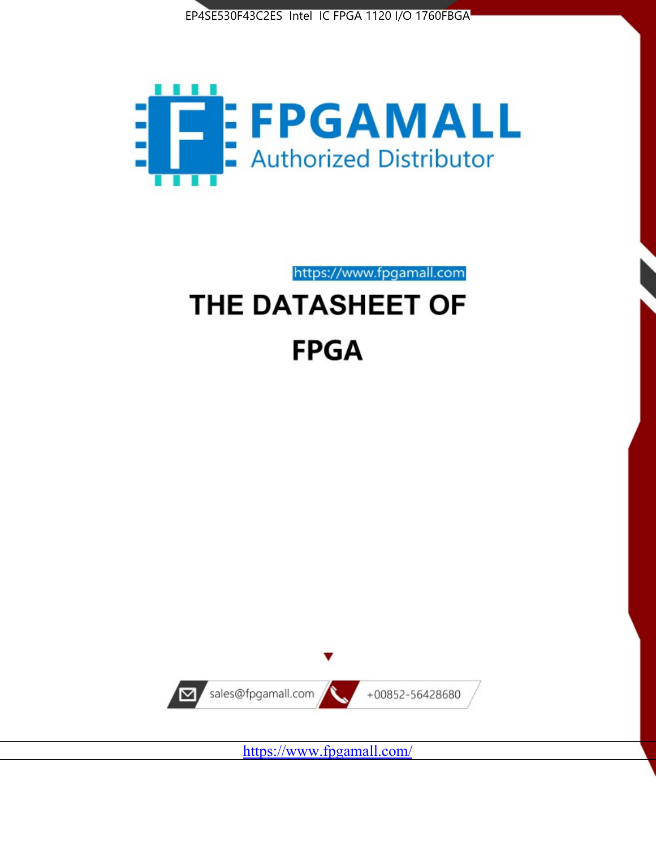



https://www.fpgamall.com

# THE DATASHEET OF **FPGA**



<https://www.fpgamall.com/>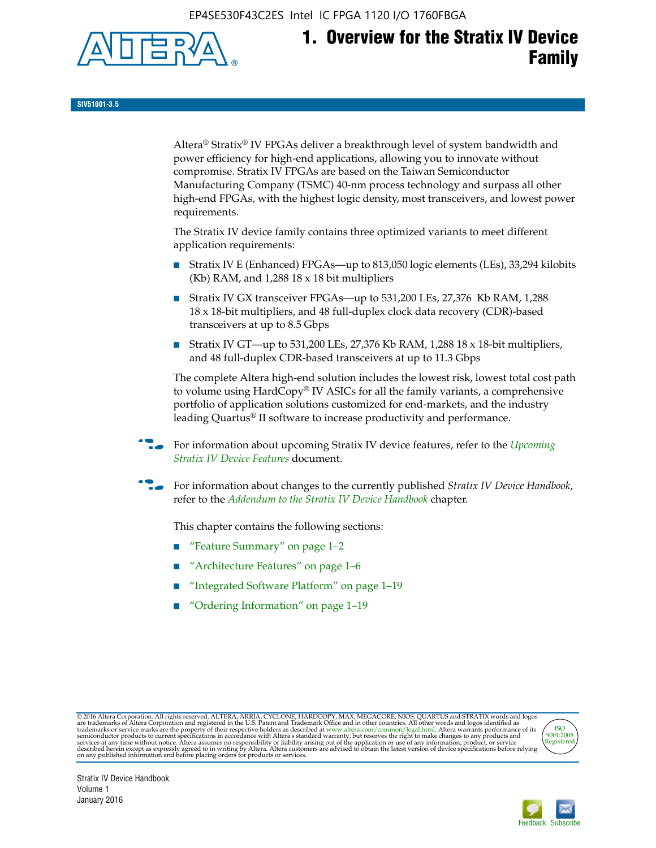EP4SE530F43C2ES Intel IC FPGA 1120 I/O 1760FBGA



# **1. Overview for the Stratix IV Device Family**

**SIV51001-3.5**

Altera® Stratix® IV FPGAs deliver a breakthrough level of system bandwidth and power efficiency for high-end applications, allowing you to innovate without compromise. Stratix IV FPGAs are based on the Taiwan Semiconductor Manufacturing Company (TSMC) 40-nm process technology and surpass all other high-end FPGAs, with the highest logic density, most transceivers, and lowest power requirements.

The Stratix IV device family contains three optimized variants to meet different application requirements:

- Stratix IV E (Enhanced) FPGAs—up to 813,050 logic elements (LEs), 33,294 kilobits (Kb) RAM, and 1,288 18 x 18 bit multipliers
- Stratix IV GX transceiver FPGAs—up to 531,200 LEs, 27,376 Kb RAM, 1,288 18 x 18-bit multipliers, and 48 full-duplex clock data recovery (CDR)-based transceivers at up to 8.5 Gbps
- Stratix IV GT—up to 531,200 LEs, 27,376 Kb RAM, 1,288 18 x 18-bit multipliers, and 48 full-duplex CDR-based transceivers at up to 11.3 Gbps

The complete Altera high-end solution includes the lowest risk, lowest total cost path to volume using HardCopy® IV ASICs for all the family variants, a comprehensive portfolio of application solutions customized for end-markets, and the industry leading Quartus® II software to increase productivity and performance.

For information about upcoming Stratix IV device features, refer to the *Upcoming [Stratix IV Device Features](http://www.altera.com/literature/hb/stratix-iv/uf01001.pdf?GSA_pos=2&WT.oss_r=1&WT.oss=upcoming)* document.

f For information about changes to the currently published *Stratix IV Device Handbook*, refer to the *[Addendum to the Stratix IV Device Handbook](http://www.altera.com/literature/hb/stratix-iv/stx4_siv54002.pdf)* chapter.

This chapter contains the following sections:

- "Feature Summary" on page 1–2
- "Architecture Features" on page 1–6
- "Integrated Software Platform" on page 1–19
- "Ordering Information" on page 1–19

@2016 Altera Corporation. All rights reserved. ALTERA, ARRIA, CYCLONE, HARDCOPY, MAX, MEGACORE, NIOS, QUARTUS and STRATIX words and logos are trademarks of Altera Corporation and registered in the U.S. Patent and Trademark



Stratix IV Device Handbook Volume 1 January 2016

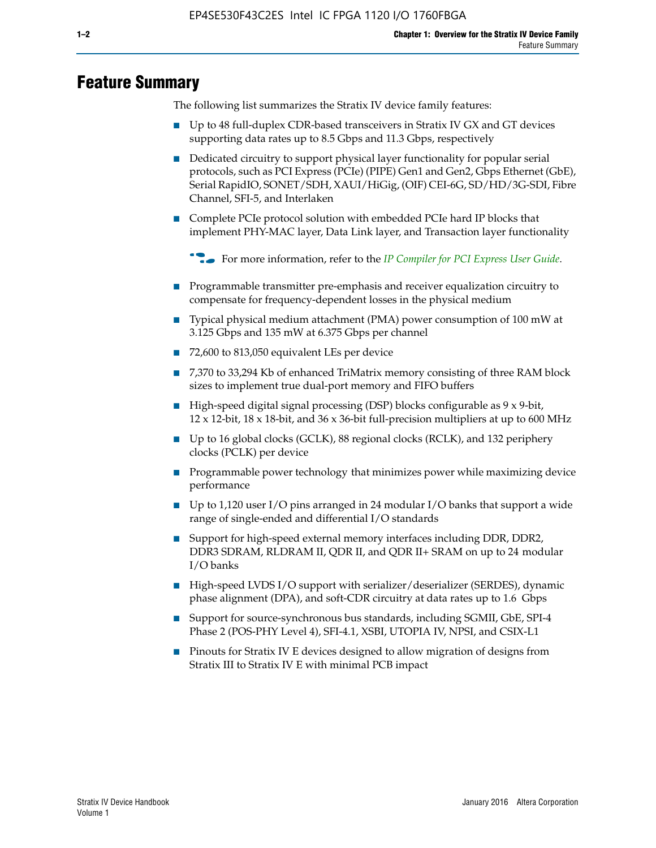# **Feature Summary**

The following list summarizes the Stratix IV device family features:

- Up to 48 full-duplex CDR-based transceivers in Stratix IV GX and GT devices supporting data rates up to 8.5 Gbps and 11.3 Gbps, respectively
- Dedicated circuitry to support physical layer functionality for popular serial protocols, such as PCI Express (PCIe) (PIPE) Gen1 and Gen2, Gbps Ethernet (GbE), Serial RapidIO, SONET/SDH, XAUI/HiGig, (OIF) CEI-6G, SD/HD/3G-SDI, Fibre Channel, SFI-5, and Interlaken
- Complete PCIe protocol solution with embedded PCIe hard IP blocks that implement PHY-MAC layer, Data Link layer, and Transaction layer functionality

**For more information, refer to the** *[IP Compiler for PCI Express User Guide](http://www.altera.com/literature/ug/ug_pci_express.pdf)***.** 

- Programmable transmitter pre-emphasis and receiver equalization circuitry to compensate for frequency-dependent losses in the physical medium
- Typical physical medium attachment (PMA) power consumption of 100 mW at 3.125 Gbps and 135 mW at 6.375 Gbps per channel
- 72,600 to 813,050 equivalent LEs per device
- 7,370 to 33,294 Kb of enhanced TriMatrix memory consisting of three RAM block sizes to implement true dual-port memory and FIFO buffers
- High-speed digital signal processing (DSP) blocks configurable as 9 x 9-bit,  $12 \times 12$ -bit,  $18 \times 18$ -bit, and  $36 \times 36$ -bit full-precision multipliers at up to 600 MHz
- Up to 16 global clocks (GCLK), 88 regional clocks (RCLK), and 132 periphery clocks (PCLK) per device
- Programmable power technology that minimizes power while maximizing device performance
- Up to 1,120 user I/O pins arranged in 24 modular I/O banks that support a wide range of single-ended and differential I/O standards
- Support for high-speed external memory interfaces including DDR, DDR2, DDR3 SDRAM, RLDRAM II, QDR II, and QDR II+ SRAM on up to 24 modular I/O banks
- High-speed LVDS I/O support with serializer/deserializer (SERDES), dynamic phase alignment (DPA), and soft-CDR circuitry at data rates up to 1.6 Gbps
- Support for source-synchronous bus standards, including SGMII, GbE, SPI-4 Phase 2 (POS-PHY Level 4), SFI-4.1, XSBI, UTOPIA IV, NPSI, and CSIX-L1
- Pinouts for Stratix IV E devices designed to allow migration of designs from Stratix III to Stratix IV E with minimal PCB impact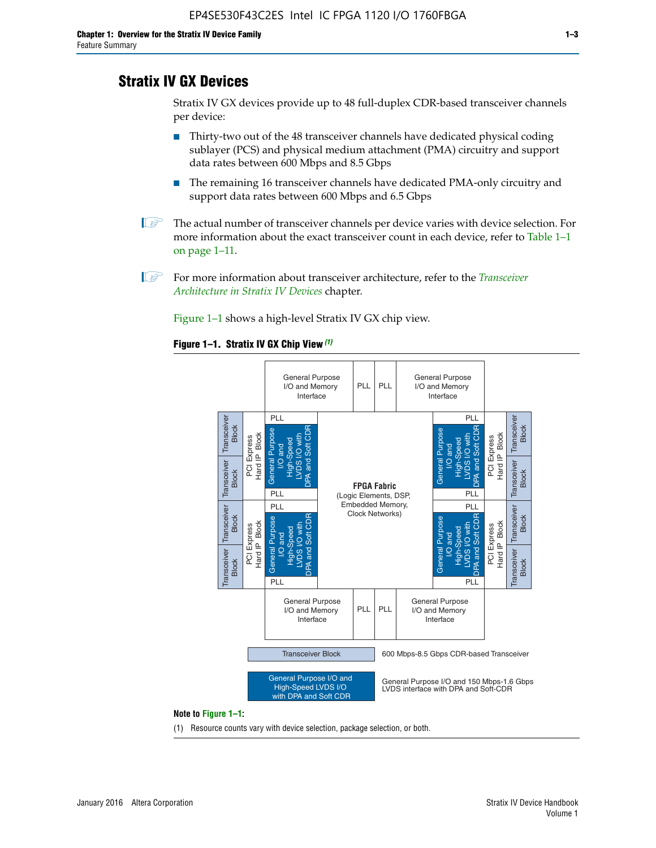# **Stratix IV GX Devices**

Stratix IV GX devices provide up to 48 full-duplex CDR-based transceiver channels per device:

- Thirty-two out of the 48 transceiver channels have dedicated physical coding sublayer (PCS) and physical medium attachment (PMA) circuitry and support data rates between 600 Mbps and 8.5 Gbps
- The remaining 16 transceiver channels have dedicated PMA-only circuitry and support data rates between 600 Mbps and 6.5 Gbps
- **1 The actual number of transceiver channels per device varies with device selection. For** more information about the exact transceiver count in each device, refer to Table 1–1 on page 1–11.
- 1 For more information about transceiver architecture, refer to the *[Transceiver](http://www.altera.com/literature/hb/stratix-iv/stx4_siv52001.pdf)  [Architecture in Stratix IV Devices](http://www.altera.com/literature/hb/stratix-iv/stx4_siv52001.pdf)* chapter.

Figure 1–1 shows a high-level Stratix IV GX chip view.

#### **Figure 1–1. Stratix IV GX Chip View** *(1)*



#### **Note to Figure 1–1:**

(1) Resource counts vary with device selection, package selection, or both.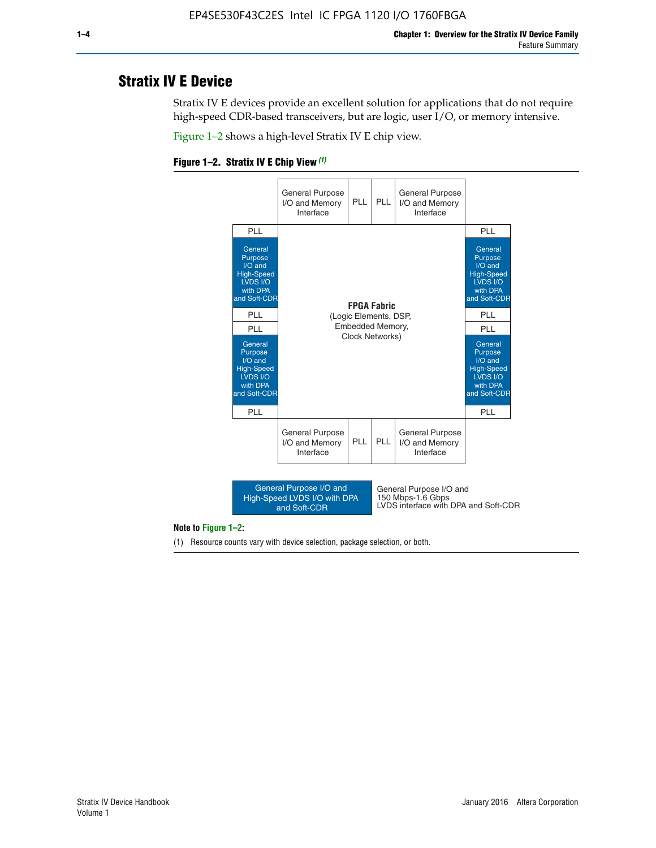# **Stratix IV E Device**

Stratix IV E devices provide an excellent solution for applications that do not require high-speed CDR-based transceivers, but are logic, user I/O, or memory intensive.

Figure 1–2 shows a high-level Stratix IV E chip view.

#### **Figure 1–2. Stratix IV E Chip View** *(1)*



#### **Note to Figure 1–2:**

(1) Resource counts vary with device selection, package selection, or both.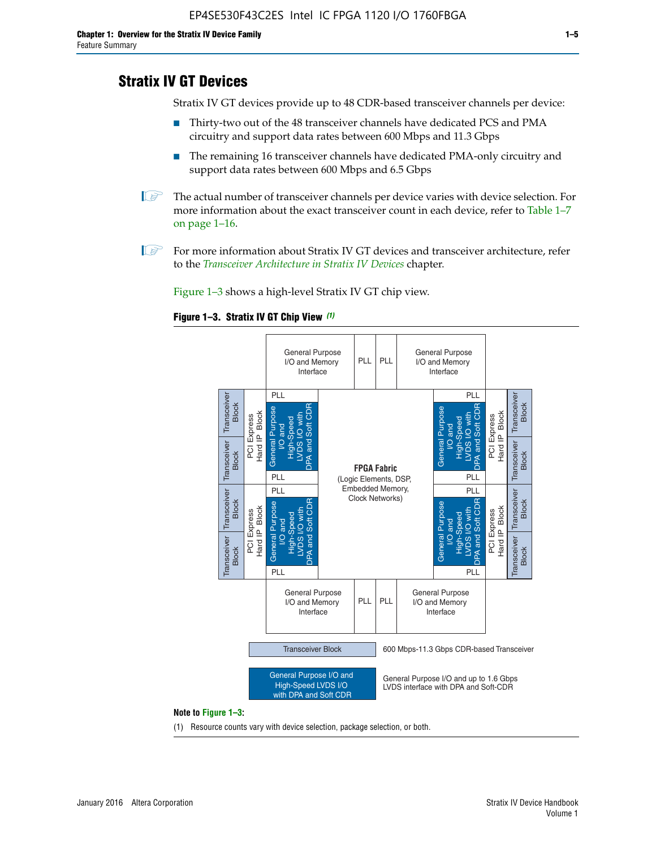# **Stratix IV GT Devices**

Stratix IV GT devices provide up to 48 CDR-based transceiver channels per device:

- Thirty-two out of the 48 transceiver channels have dedicated PCS and PMA circuitry and support data rates between 600 Mbps and 11.3 Gbps
- The remaining 16 transceiver channels have dedicated PMA-only circuitry and support data rates between 600 Mbps and 6.5 Gbps
- **1** The actual number of transceiver channels per device varies with device selection. For more information about the exact transceiver count in each device, refer to Table 1–7 on page 1–16.
- $\mathbb{I}$  For more information about Stratix IV GT devices and transceiver architecture, refer to the *[Transceiver Architecture in Stratix IV Devices](http://www.altera.com/literature/hb/stratix-iv/stx4_siv52001.pdf)* chapter.

Figure 1–3 shows a high-level Stratix IV GT chip view.

#### **Figure 1–3. Stratix IV GT Chip View** *(1)*



#### **Note to Figure 1–3:**

(1) Resource counts vary with device selection, package selection, or both.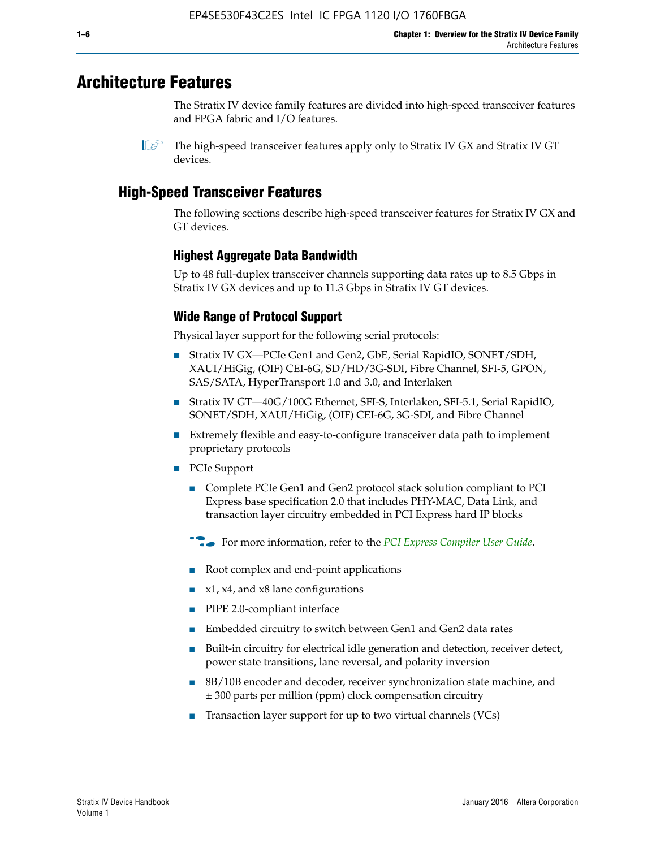# **Architecture Features**

The Stratix IV device family features are divided into high-speed transceiver features and FPGA fabric and I/O features.

# **High-Speed Transceiver Features**

The following sections describe high-speed transceiver features for Stratix IV GX and GT devices.

## **Highest Aggregate Data Bandwidth**

Up to 48 full-duplex transceiver channels supporting data rates up to 8.5 Gbps in Stratix IV GX devices and up to 11.3 Gbps in Stratix IV GT devices.

# **Wide Range of Protocol Support**

Physical layer support for the following serial protocols:

- Stratix IV GX—PCIe Gen1 and Gen2, GbE, Serial RapidIO, SONET/SDH, XAUI/HiGig, (OIF) CEI-6G, SD/HD/3G-SDI, Fibre Channel, SFI-5, GPON, SAS/SATA, HyperTransport 1.0 and 3.0, and Interlaken
- Stratix IV GT—40G/100G Ethernet, SFI-S, Interlaken, SFI-5.1, Serial RapidIO, SONET/SDH, XAUI/HiGig, (OIF) CEI-6G, 3G-SDI, and Fibre Channel
- Extremely flexible and easy-to-configure transceiver data path to implement proprietary protocols
- PCIe Support
	- Complete PCIe Gen1 and Gen2 protocol stack solution compliant to PCI Express base specification 2.0 that includes PHY-MAC, Data Link, and transaction layer circuitry embedded in PCI Express hard IP blocks
	- **For more information, refer to the [PCI Express Compiler User Guide](http://www.altera.com/literature/ug/ug_pci_express.pdf).**
	- Root complex and end-point applications
	- $x1, x4,$  and  $x8$  lane configurations
	- PIPE 2.0-compliant interface
	- Embedded circuitry to switch between Gen1 and Gen2 data rates
	- Built-in circuitry for electrical idle generation and detection, receiver detect, power state transitions, lane reversal, and polarity inversion
	- 8B/10B encoder and decoder, receiver synchronization state machine, and ± 300 parts per million (ppm) clock compensation circuitry
	- Transaction layer support for up to two virtual channels (VCs)

 $\mathbb{I}$  The high-speed transceiver features apply only to Stratix IV GX and Stratix IV GT devices.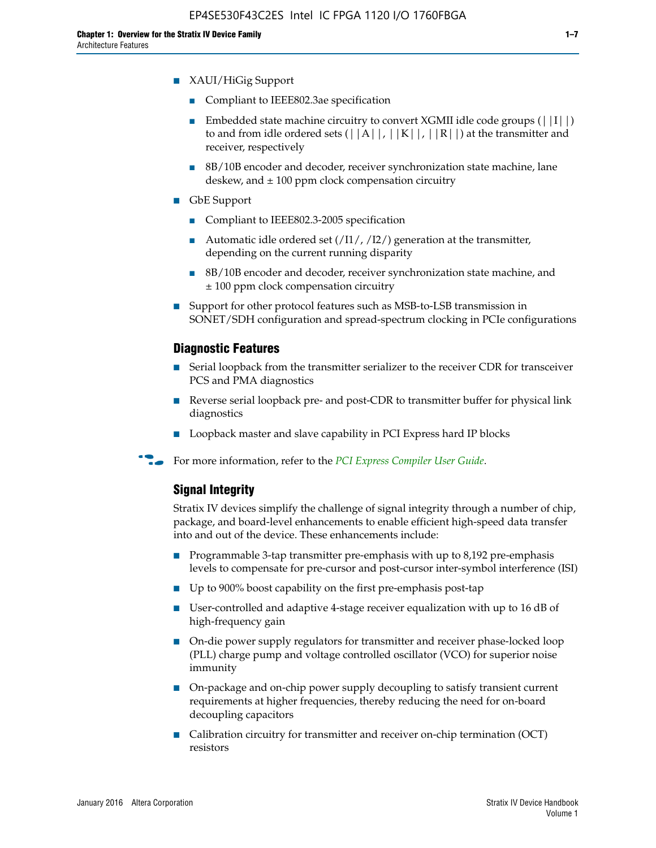- XAUI/HiGig Support
	- Compliant to IEEE802.3ae specification
	- **■** Embedded state machine circuitry to convert XGMII idle code groups  $(|11|)$ to and from idle ordered sets  $(|A|, |K|, |R|)$  at the transmitter and receiver, respectively
	- 8B/10B encoder and decoder, receiver synchronization state machine, lane deskew, and  $\pm 100$  ppm clock compensation circuitry
- GbE Support
	- Compliant to IEEE802.3-2005 specification
	- Automatic idle ordered set  $(111/112/1)$  generation at the transmitter, depending on the current running disparity
	- 8B/10B encoder and decoder, receiver synchronization state machine, and ± 100 ppm clock compensation circuitry
- Support for other protocol features such as MSB-to-LSB transmission in SONET/SDH configuration and spread-spectrum clocking in PCIe configurations

#### **Diagnostic Features**

- Serial loopback from the transmitter serializer to the receiver CDR for transceiver PCS and PMA diagnostics
- Reverse serial loopback pre- and post-CDR to transmitter buffer for physical link diagnostics
- Loopback master and slave capability in PCI Express hard IP blocks
- **For more information, refer to the** *[PCI Express Compiler User Guide](http://www.altera.com/literature/ug/ug_pci_express.pdf)***.**

### **Signal Integrity**

Stratix IV devices simplify the challenge of signal integrity through a number of chip, package, and board-level enhancements to enable efficient high-speed data transfer into and out of the device. These enhancements include:

- Programmable 3-tap transmitter pre-emphasis with up to 8,192 pre-emphasis levels to compensate for pre-cursor and post-cursor inter-symbol interference (ISI)
- Up to 900% boost capability on the first pre-emphasis post-tap
- User-controlled and adaptive 4-stage receiver equalization with up to 16 dB of high-frequency gain
- On-die power supply regulators for transmitter and receiver phase-locked loop (PLL) charge pump and voltage controlled oscillator (VCO) for superior noise immunity
- On-package and on-chip power supply decoupling to satisfy transient current requirements at higher frequencies, thereby reducing the need for on-board decoupling capacitors
- Calibration circuitry for transmitter and receiver on-chip termination (OCT) resistors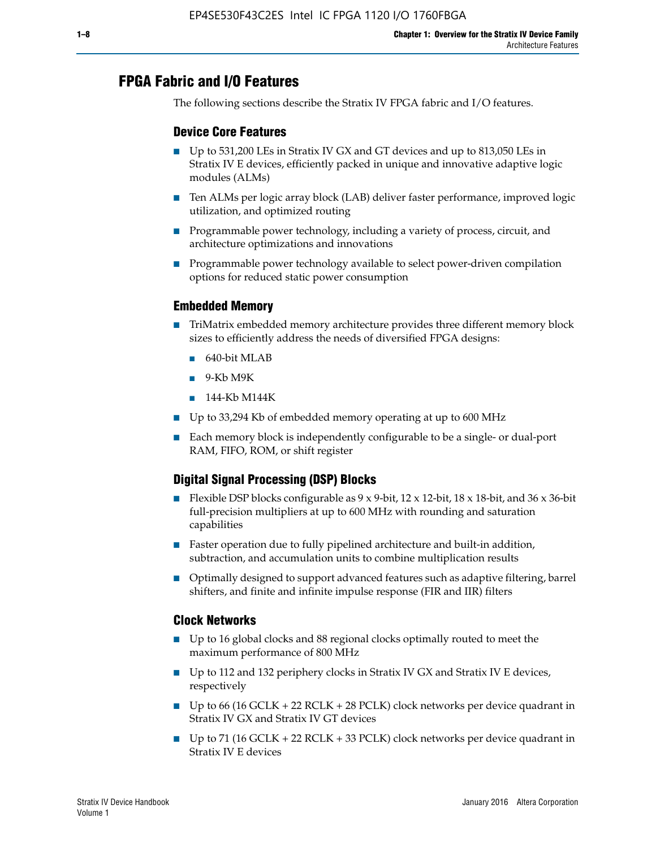# **FPGA Fabric and I/O Features**

The following sections describe the Stratix IV FPGA fabric and I/O features.

## **Device Core Features**

- Up to 531,200 LEs in Stratix IV GX and GT devices and up to 813,050 LEs in Stratix IV E devices, efficiently packed in unique and innovative adaptive logic modules (ALMs)
- Ten ALMs per logic array block (LAB) deliver faster performance, improved logic utilization, and optimized routing
- Programmable power technology, including a variety of process, circuit, and architecture optimizations and innovations
- Programmable power technology available to select power-driven compilation options for reduced static power consumption

## **Embedded Memory**

- TriMatrix embedded memory architecture provides three different memory block sizes to efficiently address the needs of diversified FPGA designs:
	- 640-bit MLAB
	- 9-Kb M9K
	- 144-Kb M144K
- Up to 33,294 Kb of embedded memory operating at up to 600 MHz
- Each memory block is independently configurable to be a single- or dual-port RAM, FIFO, ROM, or shift register

# **Digital Signal Processing (DSP) Blocks**

- Flexible DSP blocks configurable as  $9 \times 9$ -bit,  $12 \times 12$ -bit,  $18 \times 18$ -bit, and  $36 \times 36$ -bit full-precision multipliers at up to 600 MHz with rounding and saturation capabilities
- Faster operation due to fully pipelined architecture and built-in addition, subtraction, and accumulation units to combine multiplication results
- Optimally designed to support advanced features such as adaptive filtering, barrel shifters, and finite and infinite impulse response (FIR and IIR) filters

#### **Clock Networks**

- Up to 16 global clocks and 88 regional clocks optimally routed to meet the maximum performance of 800 MHz
- Up to 112 and 132 periphery clocks in Stratix IV GX and Stratix IV E devices, respectively
- Up to 66 (16 GCLK + 22 RCLK + 28 PCLK) clock networks per device quadrant in Stratix IV GX and Stratix IV GT devices
- Up to 71 (16 GCLK + 22 RCLK + 33 PCLK) clock networks per device quadrant in Stratix IV E devices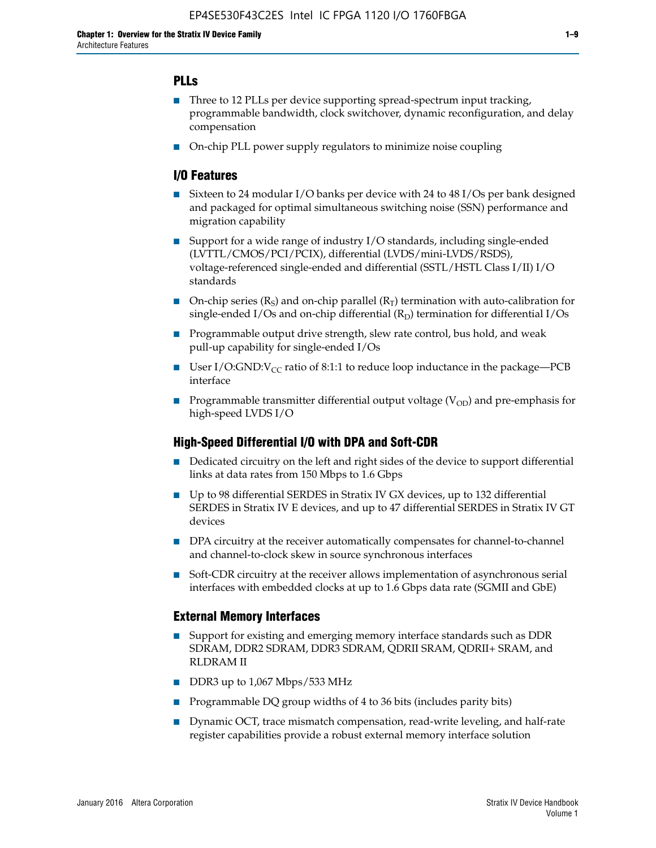# **PLLs**

- Three to 12 PLLs per device supporting spread-spectrum input tracking, programmable bandwidth, clock switchover, dynamic reconfiguration, and delay compensation
- On-chip PLL power supply regulators to minimize noise coupling

## **I/O Features**

- Sixteen to 24 modular I/O banks per device with 24 to 48 I/Os per bank designed and packaged for optimal simultaneous switching noise (SSN) performance and migration capability
- Support for a wide range of industry I/O standards, including single-ended (LVTTL/CMOS/PCI/PCIX), differential (LVDS/mini-LVDS/RSDS), voltage-referenced single-ended and differential (SSTL/HSTL Class I/II) I/O standards
- **O**n-chip series  $(R_S)$  and on-chip parallel  $(R_T)$  termination with auto-calibration for single-ended I/Os and on-chip differential  $(R_D)$  termination for differential I/Os
- Programmable output drive strength, slew rate control, bus hold, and weak pull-up capability for single-ended I/Os
- User I/O:GND: $V_{CC}$  ratio of 8:1:1 to reduce loop inductance in the package—PCB interface
- **■** Programmable transmitter differential output voltage ( $V_{OD}$ ) and pre-emphasis for high-speed LVDS I/O

#### **High-Speed Differential I/O with DPA and Soft-CDR**

- Dedicated circuitry on the left and right sides of the device to support differential links at data rates from 150 Mbps to 1.6 Gbps
- Up to 98 differential SERDES in Stratix IV GX devices, up to 132 differential SERDES in Stratix IV E devices, and up to 47 differential SERDES in Stratix IV GT devices
- DPA circuitry at the receiver automatically compensates for channel-to-channel and channel-to-clock skew in source synchronous interfaces
- Soft-CDR circuitry at the receiver allows implementation of asynchronous serial interfaces with embedded clocks at up to 1.6 Gbps data rate (SGMII and GbE)

#### **External Memory Interfaces**

- Support for existing and emerging memory interface standards such as DDR SDRAM, DDR2 SDRAM, DDR3 SDRAM, QDRII SRAM, QDRII+ SRAM, and RLDRAM II
- DDR3 up to 1,067 Mbps/533 MHz
- Programmable DQ group widths of 4 to 36 bits (includes parity bits)
- Dynamic OCT, trace mismatch compensation, read-write leveling, and half-rate register capabilities provide a robust external memory interface solution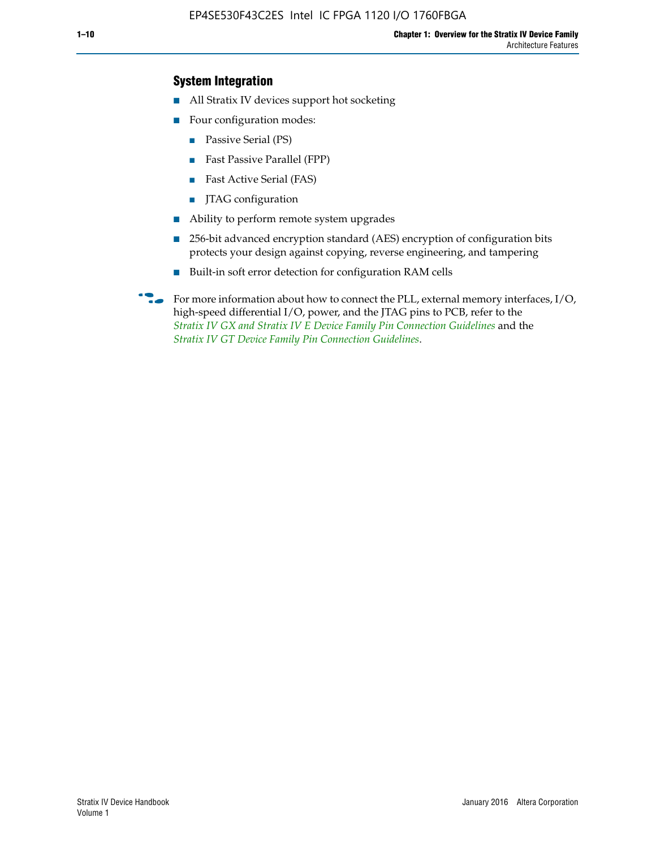## **System Integration**

- All Stratix IV devices support hot socketing
- Four configuration modes:
	- Passive Serial (PS)
	- Fast Passive Parallel (FPP)
	- Fast Active Serial (FAS)
	- JTAG configuration
- Ability to perform remote system upgrades
- 256-bit advanced encryption standard (AES) encryption of configuration bits protects your design against copying, reverse engineering, and tampering
- Built-in soft error detection for configuration RAM cells
- For more information about how to connect the PLL, external memory interfaces,  $I/O$ , high-speed differential I/O, power, and the JTAG pins to PCB, refer to the *[Stratix IV GX and Stratix IV E Device Family Pin Connection Guidelines](http://www.altera.com/literature/dp/stratix4/PCG-01005.pdf)* and the *[Stratix IV GT Device Family Pin Connection Guidelines](http://www.altera.com/literature/dp/stratix4/PCG-01006.pdf)*.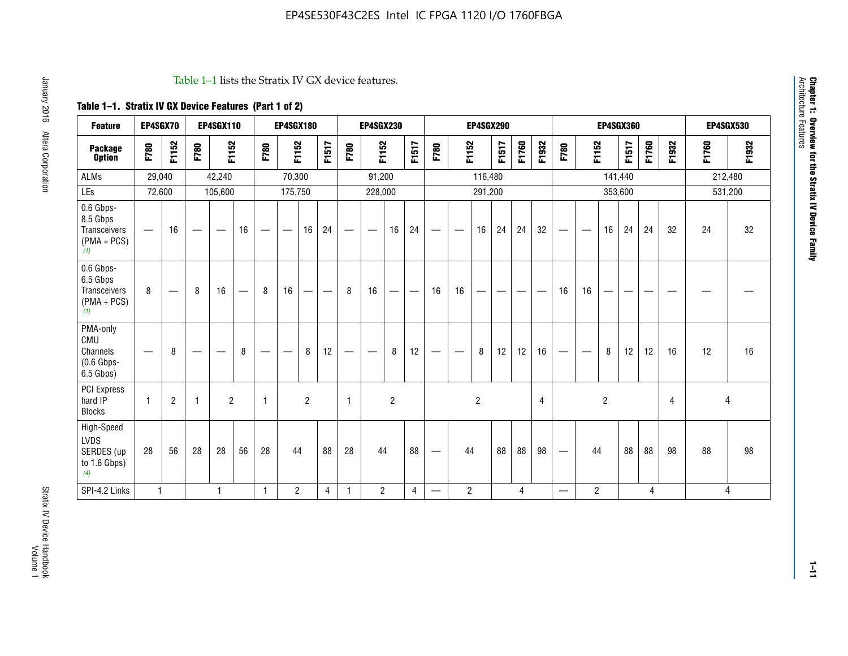#### Table 1–1 lists the Stratix IV GX device features.

# **Table 1–1. Stratix IV GX Device Features (Part 1 of 2)**

| <b>Feature</b>                                                       | EP4SGX70     |                               |      | <b>EP4SGX110</b>  |                   |      | <b>EP4SGX180</b>                |                |       |                                 | <b>EP4SGX230</b>              |                |                                   |                   |                | <b>EP4SGX290</b>         |                          |       |                |                          |                                |                | <b>EP4SGX360</b> |       |                |       | <b>EP4SGX530</b> |
|----------------------------------------------------------------------|--------------|-------------------------------|------|-------------------|-------------------|------|---------------------------------|----------------|-------|---------------------------------|-------------------------------|----------------|-----------------------------------|-------------------|----------------|--------------------------|--------------------------|-------|----------------|--------------------------|--------------------------------|----------------|------------------|-------|----------------|-------|------------------|
| <b>Package</b><br><b>Option</b>                                      | F780         | F1152                         | F780 | F1152             |                   | F780 | F1152                           |                | F1517 | F780                            | F1152                         |                | F1517                             | F780              | F1152          |                          | F1517                    | F1760 | F1932          | F780                     | F1152                          |                | F1517            | F1760 | F1932          | F1760 | F1932            |
| <b>ALMs</b>                                                          | 29,040       |                               |      | 42,240            |                   |      | 70,300                          |                |       |                                 | 91,200                        |                |                                   |                   |                | 116,480                  |                          |       |                |                          |                                | 141,440        |                  |       |                |       | 212,480          |
| LEs                                                                  | 72,600       |                               |      | 105,600           |                   |      | 175,750                         |                |       |                                 | 228,000                       |                |                                   |                   |                | 291,200                  |                          |       |                |                          |                                |                | 353,600          |       |                |       | 531,200          |
| 0.6 Gbps-<br>8.5 Gbps<br>Transceivers<br>$(PMA + PCs)$<br>(1)        | —            | 16                            |      | $\hspace{0.05cm}$ | 16                | —    | $\hspace{0.1mm}-\hspace{0.1mm}$ | 16             | 24    | $\hspace{0.1mm}-\hspace{0.1mm}$ | $\overbrace{\phantom{aaaaa}}$ | 16             | 24                                | $\hspace{0.05cm}$ |                | 16                       | 24                       | 24    | 32             |                          | $\overbrace{\phantom{aaaaa}}$  | 16             | 24               | 24    | 32             | 24    | 32               |
| 0.6 Gbps-<br>6.5 Gbps<br><b>Transceivers</b><br>$(PMA + PCs)$<br>(1) | 8            | $\overbrace{\phantom{aaaaa}}$ | 8    | 16                | $\qquad \qquad -$ | 8    | 16                              | -              | —     | 8                               | 16                            | —              | $\overbrace{\phantom{123221111}}$ | 16                | 16             | $\overline{\phantom{0}}$ | $\overline{\phantom{0}}$ |       |                | 16                       | 16                             | —              |                  |       |                |       |                  |
| PMA-only<br>CMU<br>Channels<br>$(0.6$ Gbps-<br>6.5 Gbps)             |              | 8                             |      |                   | 8                 |      | —                               | 8              | 12    |                                 | $\overline{\phantom{m}}$      | 8              | 12                                | $\hspace{0.05cm}$ | -              | 8                        | 12                       | 12    | 16             |                          | $\qquad \qquad \longleftarrow$ | 8              | 12               | 12    | 16             | 12    | 16               |
| PCI Express<br>hard IP<br><b>Blocks</b>                              | $\mathbf{1}$ | $\overline{c}$                | -1   | $\overline{2}$    |                   | 1    |                                 | $\overline{2}$ |       | $\mathbf{1}$                    |                               | $\overline{c}$ |                                   |                   |                | $\overline{c}$           |                          |       | $\overline{4}$ |                          |                                | $\overline{c}$ |                  |       | $\overline{4}$ | 4     |                  |
| High-Speed<br><b>LVDS</b><br>SERDES (up<br>to 1.6 Gbps)<br>(4)       | 28           | 56                            | 28   | 28                | 56                | 28   | 44                              |                | 88    | 28                              | 44                            |                | 88                                | —                 | 44             |                          | 88                       | 88    | 98             |                          | 44                             |                | 88               | 88    | 98             | 88    | 98               |
| SPI-4.2 Links                                                        | $\mathbf{1}$ |                               |      | 1                 |                   | 1    | $\overline{c}$                  |                | 4     | 1                               | $\overline{2}$                |                | 4                                 | —                 | $\overline{c}$ |                          |                          | 4     |                | $\overline{\phantom{0}}$ | 2                              |                |                  | 4     |                |       | 4                |

Architecture Features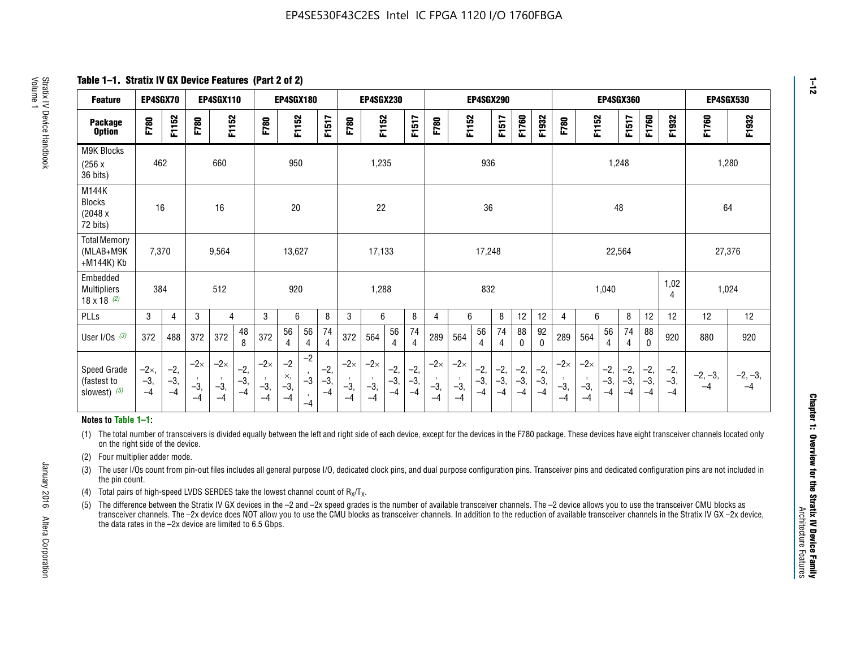**Table 1–1. Stratix IV GX Device Features (Part 2 of 2)**

| <b>Feature</b>                                       | EP4SGX70                |                        |                             | <b>EP4SGX110</b>            |                      |                             | EP4SGX180                 |                                 |                        |                             | <b>EP4SGX230</b>            |                      |                      |                            |                             | <b>EP4SGX290</b>       |                      |                      |                        |                             |                             |                        | EP4SGX360             |                      |                        | EP4SGX530         |                 |
|------------------------------------------------------|-------------------------|------------------------|-----------------------------|-----------------------------|----------------------|-----------------------------|---------------------------|---------------------------------|------------------------|-----------------------------|-----------------------------|----------------------|----------------------|----------------------------|-----------------------------|------------------------|----------------------|----------------------|------------------------|-----------------------------|-----------------------------|------------------------|-----------------------|----------------------|------------------------|-------------------|-----------------|
| <b>Package</b><br><b>Option</b>                      | <b>F780</b>             | F1152                  | F780                        | F1152                       |                      | F780                        | F1152                     |                                 | F1517                  | F780                        | F1152                       |                      | F1517                | F780                       | F1152                       |                        | F1517                | F1760                | F1932                  | F780                        | F1152                       |                        | F1517                 | F1760                | F1932                  | F1760             | F1932           |
| <b>M9K Blocks</b><br>(256x)<br>36 bits)              | 462                     |                        |                             | 660                         |                      |                             | 950                       |                                 |                        |                             | 1,235                       |                      |                      |                            |                             | 936                    |                      |                      |                        |                             |                             | 1,248                  |                       |                      |                        |                   | 1,280           |
| M144K<br><b>Blocks</b><br>(2048 x<br>72 bits)        | 16                      |                        |                             | 16                          |                      |                             | 20                        |                                 |                        |                             | 22                          |                      |                      |                            |                             | 36                     |                      |                      |                        |                             |                             | 48                     |                       |                      |                        | 64                |                 |
| <b>Total Memory</b><br>(MLAB+M9K<br>+M144K) Kb       | 7,370                   |                        |                             | 9,564                       |                      |                             | 13,627                    |                                 |                        |                             | 17,133                      |                      |                      |                            |                             | 17,248                 |                      |                      |                        |                             |                             | 22,564                 |                       |                      |                        | 27,376            |                 |
| Embedded<br><b>Multipliers</b><br>$18 \times 18$ (2) | 384                     |                        |                             | 512                         |                      |                             | 920                       |                                 |                        |                             | 1,288                       |                      |                      |                            |                             | 832                    |                      |                      |                        |                             |                             | 1,040                  |                       |                      | 1,02<br>4              | 1,024             |                 |
| <b>PLLs</b>                                          | 3                       | $\overline{4}$         | 3                           | 4                           |                      | 3                           | 6                         |                                 | 8                      | 3                           | 6                           |                      | 8                    | 4                          | 6                           |                        | 8                    | 12                   | 12                     | 4                           | 6                           |                        | 8                     | 12                   | 12                     | 12                | 12              |
| User $I/Os$ (3)                                      | 372                     | 488                    | 372                         | 372                         | 48<br>8              | 372                         | 56<br>4                   | 56<br>4                         | 74<br>4                | 372                         | 564                         | 56<br>4              | 74<br>$\overline{4}$ | 289                        | 564                         | 56<br>4                | 74<br>4              | 88<br>0              | 92<br>$\mathbf 0$      | 289                         | 564                         | 56<br>4                | 74<br>4               | 88<br>$\mathbf{0}$   | 920                    | 880               | 920             |
| Speed Grade<br>(fastest to<br>slowest) (5)           | $-2x,$<br>$-3,$<br>$-4$ | $-2,$<br>$-3,$<br>$-4$ | $-2\times$<br>$-3,$<br>$-4$ | $-2\times$<br>$-3,$<br>$-4$ | $-2,$<br>-3,<br>$-4$ | $-2\times$<br>$-3,$<br>$-4$ | $-2$<br>×,<br>$-3,$<br>-4 | $-2$<br>$-3$<br>$\cdot$<br>$-4$ | $-2,$<br>$-3,$<br>$-4$ | $-2\times$<br>$-3,$<br>$-4$ | $-2\times$<br>$-3,$<br>$-4$ | $-2,$<br>-3,<br>$-4$ | $-2,$<br>-3,<br>$-4$ | $-2\times$<br>$-3$<br>$-4$ | $-2\times$<br>$-3,$<br>$-4$ | $-2,$<br>$-3,$<br>$-4$ | $-2,$<br>-3,<br>$-4$ | $-2,$<br>-3,<br>$-4$ | $-2,$<br>$-3,$<br>$-4$ | $-2\times$<br>$-3,$<br>$-4$ | $-2\times$<br>$-3,$<br>$-4$ | $-2,$<br>$-3,$<br>$-4$ | $-2,$<br>$-3$<br>$-4$ | $-2,$<br>-3,<br>$-4$ | $-2,$<br>$-3,$<br>$-4$ | $-2, -3,$<br>$-4$ | $-2, -3,$<br>-4 |

#### **Notes to Table 1–1:**

(1) The total number of transceivers is divided equally between the left and right side of each device, except for the devices in the F780 package. These devices have eight transceiver channels located only on the right side of the device.

- (2) Four multiplier adder mode.
- (3) The user I/Os count from pin-out files includes all general purpose I/O, dedicated clock pins, and dual purpose configuration pins. Transceiver pins and dedicated configuration pins are not included in the pin count.
- (4) Total pairs of high-speed LVDS SERDES take the lowest channel count of  $R_X/T_X$ .
- (5) The difference between the Stratix IV GX devices in the –2 and –2x speed grades is the number of available transceiver channels. The –2 device allows you to use the transceiver CMU blocks as transceiver channels. The –2x device does NOT allow you to use the CMU blocks as transceiver channels. In addition to the reduction of available transceiver channels in the Stratix IV GX –2x device, the data rates in the –2x device are limited to 6.5 Gbps.

January 2016 Altera Corporation

Altera Corporation

January 2016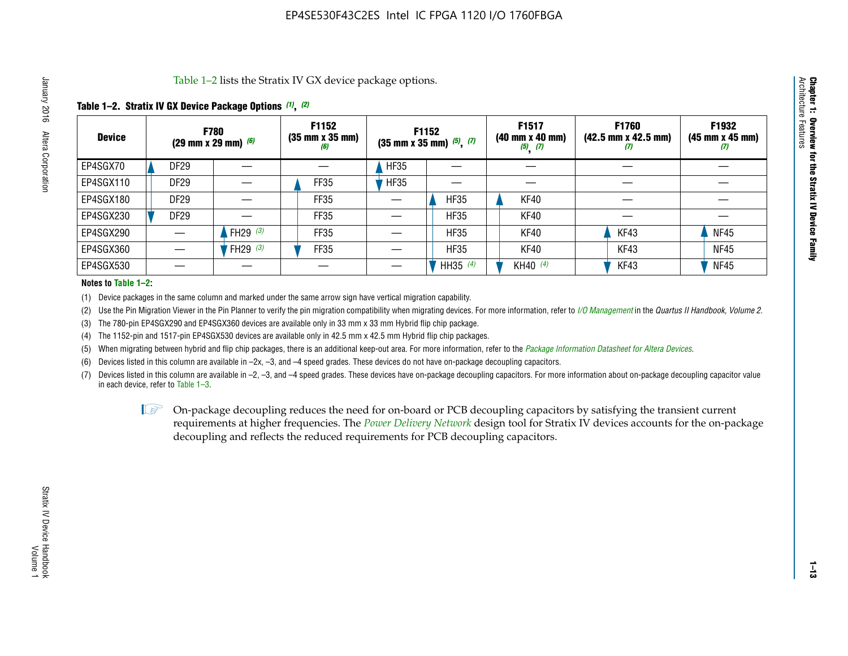Table 1–2 lists the Stratix IV GX device package options.

#### **Table 1–2. Stratix IV GX Device Package Options** *(1)***,** *(2)*

| <b>Device</b> |                  | <b>F780</b><br>(29 mm x 29 mm) $(6)$ | F1152<br>$(35 \, \text{mm} \times 35 \, \text{mm})$<br>(6) |             | <b>F1152</b><br>$(35 \text{ mm} \times 35 \text{ mm})$ $(5)$ , $(7)$ | F1517<br>(40 mm x 40 mm)<br>$(5)$ $(7)$ | <b>F1760</b><br>$(42.5 \text{ mm} \times 42.5 \text{ mm})$<br>(I) | F1932<br>$(45 \, \text{mm} \times 45 \, \text{mm})$<br>(7) |
|---------------|------------------|--------------------------------------|------------------------------------------------------------|-------------|----------------------------------------------------------------------|-----------------------------------------|-------------------------------------------------------------------|------------------------------------------------------------|
| EP4SGX70      | <b>DF29</b>      |                                      |                                                            | <b>HF35</b> |                                                                      |                                         |                                                                   |                                                            |
| EP4SGX110     | <b>DF29</b>      |                                      | FF35                                                       | <b>HF35</b> |                                                                      |                                         |                                                                   |                                                            |
| EP4SGX180     | DF <sub>29</sub> |                                      | FF35                                                       |             | <b>HF35</b>                                                          | KF40                                    |                                                                   |                                                            |
| EP4SGX230     | DF <sub>29</sub> |                                      | FF35                                                       |             | <b>HF35</b>                                                          | KF40                                    |                                                                   |                                                            |
| EP4SGX290     |                  | FH29 $(3)$                           | FF35                                                       |             | <b>HF35</b>                                                          | KF40                                    | KF43                                                              | <b>NF45</b>                                                |
| EP4SGX360     |                  | FH29 (3)                             | FF35                                                       |             | <b>HF35</b>                                                          | KF40                                    | KF43                                                              | <b>NF45</b>                                                |
| EP4SGX530     |                  |                                      |                                                            |             | HH35 $(4)$                                                           | KH40 (4)                                | KF43                                                              | <b>NF45</b>                                                |

#### **Notes to Table 1–2:**

(1) Device packages in the same column and marked under the same arrow sign have vertical migration capability.

(2) Use the Pin Migration Viewer in the Pin Planner to verify the pin migration compatibility when migrating devices. For more information, refer to *[I/O Management](http://www.altera.com/literature/hb/qts/qts_qii52013.pdf)* in the *Quartus II Handbook, Volume 2*.

(3) The 780-pin EP4SGX290 and EP4SGX360 devices are available only in 33 mm x 33 mm Hybrid flip chip package.

(4) The 1152-pin and 1517-pin EP4SGX530 devices are available only in 42.5 mm x 42.5 mm Hybrid flip chip packages.

(5) When migrating between hybrid and flip chip packages, there is an additional keep-out area. For more information, refer to the *[Package Information Datasheet for Altera Devices](http://www.altera.com/literature/ds/dspkg.pdf)*.

(6) Devices listed in this column are available in –2x, –3, and –4 speed grades. These devices do not have on-package decoupling capacitors.

(7) Devices listed in this column are available in –2, –3, and –4 speed grades. These devices have on-package decoupling capacitors. For more information about on-package decoupling capacitor value in each device, refer to Table 1–3.

 $\mathbb{L}$ s On-package decoupling reduces the need for on-board or PCB decoupling capacitors by satisfying the transient current requirements at higher frequencies. The *[Power Delivery Network](http://www.altera.com/literature/ug/pdn_tool_stxiv.zip)* design tool for Stratix IV devices accounts for the on-package decoupling and reflects the reduced requirements for PCB decoupling capacitors.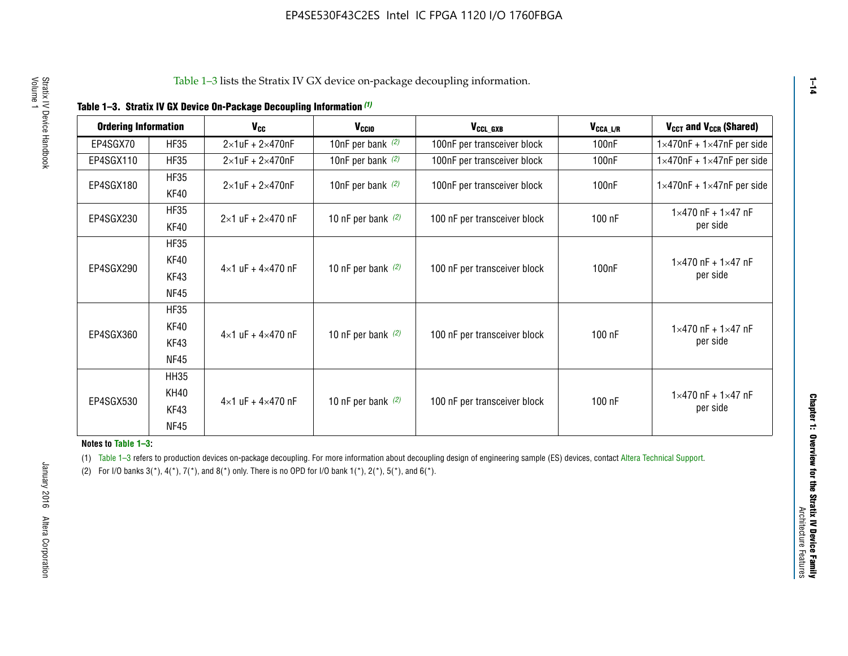|  |  | Table 1-3. Stratix IV GX Device On-Package Decoupling Information (1) |  |  |
|--|--|-----------------------------------------------------------------------|--|--|
|--|--|-----------------------------------------------------------------------|--|--|

| <b>Ordering Information</b> |                     | $V_{cc}$                            | V <sub>CCIO</sub>    | V <sub>CCL_GXB</sub>         | $V_{\texttt{CCA}\_\textsf{L/R}}$ | V <sub>CCT</sub> and V <sub>CCR</sub> (Shared)   |
|-----------------------------|---------------------|-------------------------------------|----------------------|------------------------------|----------------------------------|--------------------------------------------------|
| EP4SGX70                    | <b>HF35</b>         | $2\times1$ uF + $2\times470$ nF     | 10nF per bank $(2)$  | 100nF per transceiver block  | 100 <sub>n</sub> F               | $1\times470$ nF + $1\times47$ nF per side        |
| EP4SGX110                   | <b>HF35</b>         | $2\times1$ uF + $2\times470$ nF     | 10nF per bank $(2)$  | 100nF per transceiver block  | 100 <sub>n</sub> F               | $1\times470$ nF + $1\times47$ nF per side        |
| EP4SGX180                   | <b>HF35</b><br>KF40 | $2\times1$ uF + $2\times470$ nF     | 10nF per bank $(2)$  | 100nF per transceiver block  | 100 <sub>n</sub> F               | $1\times470$ nF + $1\times47$ nF per side        |
| EP4SGX230                   | <b>HF35</b><br>KF40 | $2 \times 1$ uF + $2 \times 470$ nF | 10 nF per bank $(2)$ | 100 nF per transceiver block | 100 nF                           | $1 \times 470$ nF + $1 \times 47$ nF<br>per side |
|                             | <b>HF35</b>         |                                     |                      |                              |                                  |                                                  |
| EP4SGX290                   | KF40<br>KF43        | $4\times1$ uF + $4\times470$ nF     | 10 nF per bank $(2)$ | 100 nF per transceiver block | 100 <sub>n</sub> F               | $1 \times 470$ nF + $1 \times 47$ nF<br>per side |
|                             | <b>NF45</b>         |                                     |                      |                              |                                  |                                                  |
|                             | <b>HF35</b>         |                                     |                      |                              |                                  |                                                  |
| EP4SGX360                   | KF40                | $4 \times 1$ uF + $4 \times 470$ nF | 10 nF per bank $(2)$ | 100 nF per transceiver block | 100 nF                           | $1 \times 470$ nF + $1 \times 47$ nF             |
|                             | KF43                |                                     |                      |                              |                                  | per side                                         |
|                             | <b>NF45</b>         |                                     |                      |                              |                                  |                                                  |
|                             | <b>HH35</b>         |                                     |                      |                              |                                  |                                                  |
|                             | KH40                |                                     |                      |                              |                                  | $1 \times 470$ nF + $1 \times 47$ nF             |
| EP4SGX530                   | KF43                | $4\times1$ uF + $4\times470$ nF     | 10 nF per bank $(2)$ | 100 nF per transceiver block | 100 nF                           | per side                                         |
|                             | <b>NF45</b>         |                                     |                      |                              |                                  |                                                  |

**Notes to Table 1–3:**

(1) Table 1-3 refers to production devices on-package decoupling. For more information about decoupling design of engineering sample (ES) devices, contact [Altera Technical Support](http://mysupport.altera.com/eservice/login.asp).

(2) For I/O banks  $3(*)$ ,  $4(*)$ ,  $7(*)$ , and  $8(*)$  only. There is no OPD for I/O bank  $1(*)$ ,  $2(*)$ ,  $5(*)$ , and  $6(*)$ .

**1–14**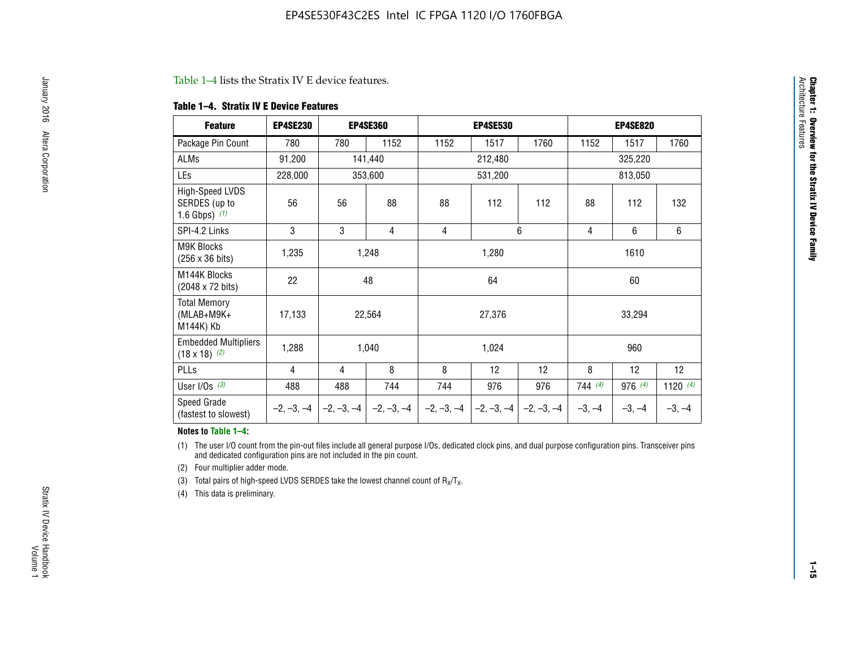#### Table 1–4 lists the Stratix IV E device features.

#### **Table 1–4. Stratix IV E Device Features**

| <b>Feature</b>                                      | <b>EP4SE230</b> |     | <b>EP4SE360</b>                        |              | <b>EP4SE530</b> |              |          | <b>EP4SE820</b> |            |
|-----------------------------------------------------|-----------------|-----|----------------------------------------|--------------|-----------------|--------------|----------|-----------------|------------|
| Package Pin Count                                   | 780             | 780 | 1152                                   | 1152         | 1517            | 1760         | 1152     | 1517            | 1760       |
| ALMs                                                | 91,200          |     | 141,440                                |              | 212,480         |              |          | 325,220         |            |
| LEs                                                 | 228,000         |     | 353,600                                |              | 531,200         |              |          | 813,050         |            |
| High-Speed LVDS<br>SERDES (up to<br>1.6 Gbps) $(1)$ | 56              | 56  | 88                                     | 88           | 112             | 112          | 88       | 112             | 132        |
| SPI-4.2 Links                                       | 3               | 3   | 4                                      | 4            |                 | 6            | 4        | 6               | 6          |
| <b>M9K Blocks</b><br>(256 x 36 bits)                | 1,235           |     | 1,248                                  |              | 1,280           |              |          | 1610            |            |
| M144K Blocks<br>(2048 x 72 bits)                    | 22              |     | 48                                     |              | 64              |              |          | 60              |            |
| <b>Total Memory</b><br>$(MLAB+M9K+$<br>M144K) Kb    | 17,133          |     | 22,564                                 |              | 27,376          |              |          | 33,294          |            |
| <b>Embedded Multipliers</b><br>$(18 \times 18)$ (2) | 1,288           |     | 1,040                                  |              | 1,024           |              |          | 960             |            |
| PLLs                                                | 4               | 4   | 8                                      | 8            | 12              | 12           | 8        | 12              | 12         |
| User I/Os $(3)$                                     | 488             | 488 | 744                                    | 744          | 976             | 976          | 744(4)   | 976 (4)         | 1120 $(4)$ |
| Speed Grade<br>(fastest to slowest)                 |                 |     | $-2, -3, -4$ $-2, -3, -4$ $-2, -3, -4$ | $-2, -3, -4$ | $-2, -3, -4$    | $-2, -3, -4$ | $-3, -4$ | $-3, -4$        | $-3, -4$   |

#### **Notes to Table 1–4:**

(1) The user I/O count from the pin-out files include all general purpose I/Os, dedicated clock pins, and dual purpose configuration pins. Transceiver pins and dedicated configuration pins are not included in the pin count.

(2) Four multiplier adder mode.

(3) Total pairs of high-speed LVDS SERDES take the lowest channel count of  $R_X/T_X$ .

(4) This data is preliminary.

**Chapter 1: Overview for the Stratix IV Device Family**

**Chapter 1: Overview for the Stratix IV Device Family**<br>Architecture Faatures

Architecture Features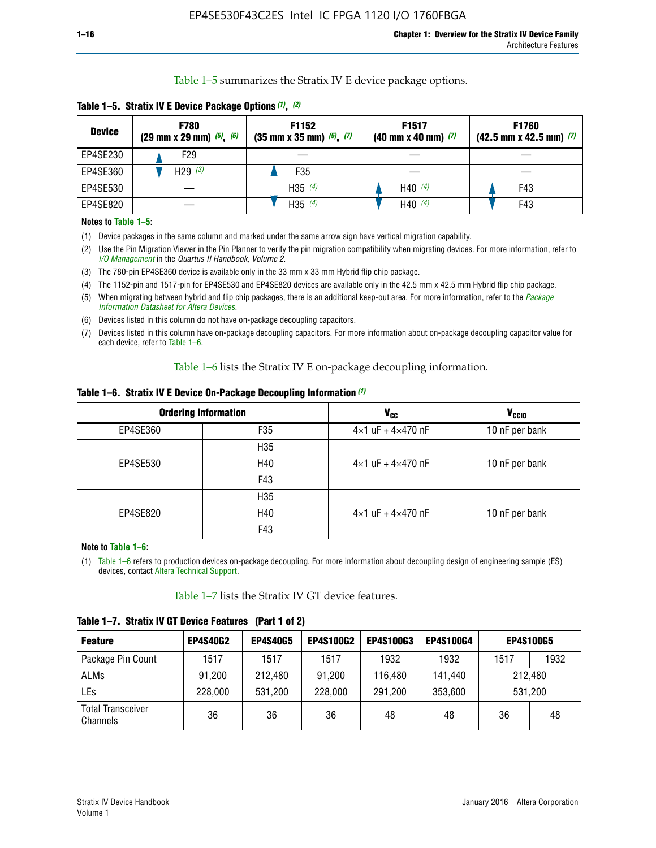Table 1–5 summarizes the Stratix IV E device package options.

| <b>Device</b> | <b>F780</b><br>$(29 \text{ mm} \times 29 \text{ mm})$ $(5)$ , $(6)$ | F1152<br>$(35 \text{ mm} \times 35 \text{ mm})$ $(5)$ $(7)$ | F <sub>1517</sub><br>$(40 \text{ mm} \times 40 \text{ mm})$ (7) | <b>F1760</b><br>$(42.5$ mm x 42.5 mm) $(7)$ |
|---------------|---------------------------------------------------------------------|-------------------------------------------------------------|-----------------------------------------------------------------|---------------------------------------------|
| EP4SE230      | F <sub>29</sub>                                                     |                                                             |                                                                 |                                             |
| EP4SE360      | H29 $(3)$                                                           | F35                                                         |                                                                 |                                             |
| EP4SE530      |                                                                     | H35 $(4)$                                                   | H40 $(4)$                                                       | F43                                         |
| EP4SE820      |                                                                     | H35 $(4)$                                                   | H40 $(4)$                                                       | F43                                         |

**Table 1–5. Stratix IV E Device Package Options** *(1)***,** *(2)*

#### **Notes to Table 1–5:**

(1) Device packages in the same column and marked under the same arrow sign have vertical migration capability.

(2) Use the Pin Migration Viewer in the Pin Planner to verify the pin migration compatibility when migrating devices. For more information, refer to *[I/O Management](http://www.altera.com/literature/hb/qts/qts_qii52013.pdf)* in the *Quartus II Handbook, Volume 2*.

(3) The 780-pin EP4SE360 device is available only in the 33 mm x 33 mm Hybrid flip chip package.

(4) The 1152-pin and 1517-pin for EP4SE530 and EP4SE820 devices are available only in the 42.5 mm x 42.5 mm Hybrid flip chip package.

(5) When migrating between hybrid and flip chip packages, there is an additional keep-out area. For more information, refer to the *[Package](http://www.altera.com/literature/ds/dspkg.pdf)  [Information Datasheet for Altera Devices](http://www.altera.com/literature/ds/dspkg.pdf)*.

(6) Devices listed in this column do not have on-package decoupling capacitors.

(7) Devices listed in this column have on-package decoupling capacitors. For more information about on-package decoupling capacitor value for each device, refer to Table 1–6.

Table 1–6 lists the Stratix IV E on-package decoupling information.

| Table 1–6. Stratix IV E Device On-Package Decoupling Information (1) |  |  |  |  |  |
|----------------------------------------------------------------------|--|--|--|--|--|
|----------------------------------------------------------------------|--|--|--|--|--|

|          | <b>Ordering Information</b> | V <sub>cc</sub>                     | <b>V<sub>CCIO</sub></b> |
|----------|-----------------------------|-------------------------------------|-------------------------|
| EP4SE360 | F <sub>35</sub>             | $4 \times 1$ uF + $4 \times 470$ nF | 10 nF per bank          |
|          | H35                         |                                     |                         |
| EP4SE530 | H40                         | $4\times1$ uF + $4\times470$ nF     | 10 nF per bank          |
|          | F43                         |                                     |                         |
|          | H35                         |                                     |                         |
| EP4SE820 | H40                         | $4\times1$ uF + $4\times470$ nF     | 10 nF per bank          |
|          | F43                         |                                     |                         |

**Note to Table 1–6:**

(1) Table 1–6 refers to production devices on-package decoupling. For more information about decoupling design of engineering sample (ES) devices, contact [Altera Technical Support](http://mysupport.altera.com/eservice/login.asp).

Table 1–7 lists the Stratix IV GT device features.

| <b>Feature</b>                       | <b>EP4S40G2</b> | <b>EP4S40G5</b> | <b>EP4S100G2</b> | <b>EP4S100G3</b> | <b>EP4S100G4</b> |      | <b>EP4S100G5</b> |
|--------------------------------------|-----------------|-----------------|------------------|------------------|------------------|------|------------------|
| Package Pin Count                    | 1517            | 1517            | 1517             | 1932             | 1932             | 1517 | 1932             |
| <b>ALMs</b>                          | 91,200          | 212,480         | 91,200           | 116,480          | 141,440          |      | 212.480          |
| LEs                                  | 228,000         | 531,200         | 228,000          | 291,200          | 353,600          |      | 531,200          |
| <b>Total Transceiver</b><br>Channels | 36              | 36              | 36               | 48               | 48               | 36   | 48               |

**Table 1–7. Stratix IV GT Device Features (Part 1 of 2)**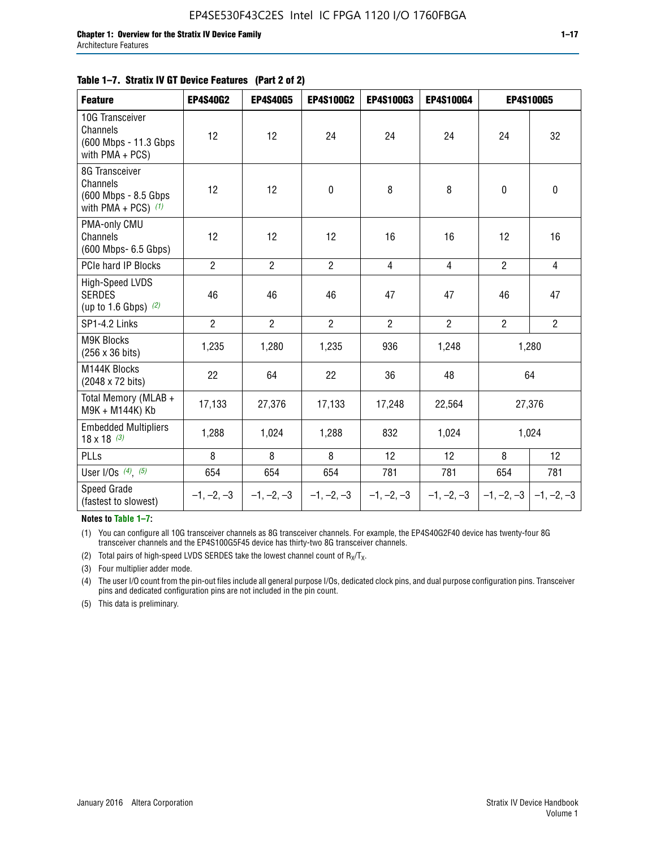## **Table 1–7. Stratix IV GT Device Features (Part 2 of 2)**

| <b>Feature</b>                                                               | <b>EP4S40G2</b> | <b>EP4S40G5</b> | <b>EP4S100G2</b> | <b>EP4S100G3</b> | EP4S100G4      |                | <b>EP4S100G5</b>          |
|------------------------------------------------------------------------------|-----------------|-----------------|------------------|------------------|----------------|----------------|---------------------------|
| 10G Transceiver<br>Channels<br>(600 Mbps - 11.3 Gbps)<br>with $PMA + PCS$ )  | 12              | 12              | 24               | 24               | 24             | 24             | 32                        |
| 8G Transceiver<br>Channels<br>(600 Mbps - 8.5 Gbps)<br>with PMA + PCS) $(1)$ | 12              | 12              | $\mathbf 0$      | 8                | 8              | $\mathbf 0$    | $\pmb{0}$                 |
| PMA-only CMU<br>Channels<br>(600 Mbps- 6.5 Gbps)                             | 12              | 12              | 12               | 16               | 16             | 12             | 16                        |
| PCIe hard IP Blocks                                                          | $\overline{2}$  | $\overline{2}$  | $\overline{2}$   | $\overline{4}$   | $\overline{4}$ | $\overline{2}$ | $\overline{4}$            |
| High-Speed LVDS<br><b>SERDES</b><br>(up to 1.6 Gbps) $(2)$                   | 46              | 46              | 46               | 47               | 47             | 46             | 47                        |
| SP1-4.2 Links                                                                | $\overline{2}$  | $\overline{2}$  | $\overline{2}$   | $\overline{2}$   | $\overline{2}$ | $\overline{2}$ | $\overline{2}$            |
| <b>M9K Blocks</b><br>(256 x 36 bits)                                         | 1,235           | 1,280           | 1,235            | 936              | 1,248          |                | 1,280                     |
| M144K Blocks<br>(2048 x 72 bits)                                             | 22              | 64              | 22               | 36               | 48             |                | 64                        |
| Total Memory (MLAB +<br>M9K + M144K) Kb                                      | 17,133          | 27,376          | 17,133           | 17,248           | 22,564         |                | 27,376                    |
| <b>Embedded Multipliers</b><br>$18 \times 18^{(3)}$                          | 1,288           | 1,024           | 1,288            | 832              | 1,024          |                | 1,024                     |
| PLLs                                                                         | 8               | 8               | 8                | 12               | 12             | 8              | 12                        |
| User I/Os $(4)$ , $(5)$                                                      | 654             | 654             | 654              | 781              | 781            | 654            | 781                       |
| Speed Grade<br>(fastest to slowest)                                          | $-1, -2, -3$    | $-1, -2, -3$    | $-1, -2, -3$     | $-1, -2, -3$     | $-1, -2, -3$   |                | $-1, -2, -3$ $-1, -2, -3$ |

**Notes to Table 1–7:**

(1) You can configure all 10G transceiver channels as 8G transceiver channels. For example, the EP4S40G2F40 device has twenty-four 8G transceiver channels and the EP4S100G5F45 device has thirty-two 8G transceiver channels.

(2) Total pairs of high-speed LVDS SERDES take the lowest channel count of  $R_X/T_X$ .

(3) Four multiplier adder mode.

(4) The user I/O count from the pin-out files include all general purpose I/Os, dedicated clock pins, and dual purpose configuration pins. Transceiver pins and dedicated configuration pins are not included in the pin count.

(5) This data is preliminary.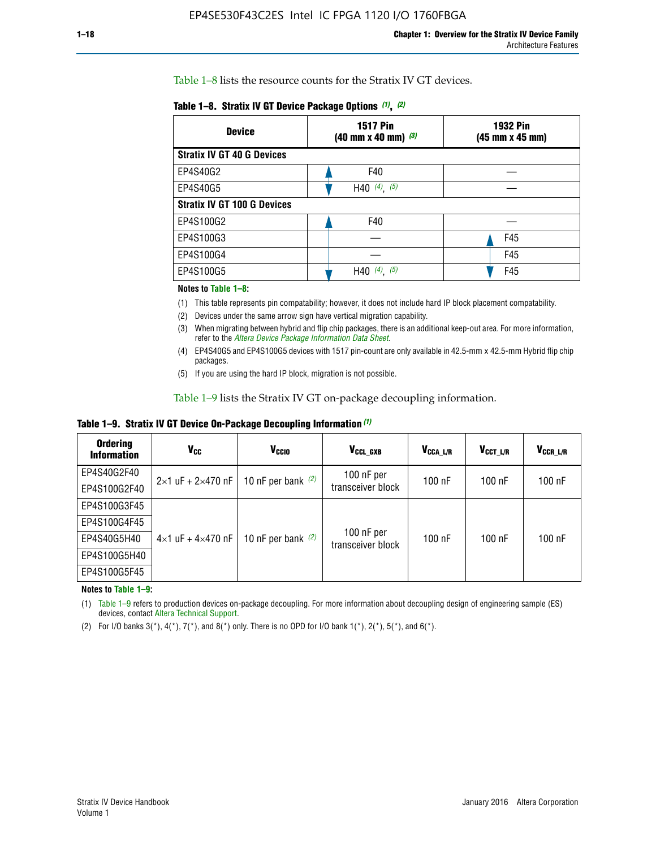Table 1–8 lists the resource counts for the Stratix IV GT devices.

| <b>Device</b>                      | <b>1517 Pin</b><br><b>1932 Pin</b><br>$(40 \text{ mm} \times 40 \text{ mm})$ $(3)$<br>(45 mm x 45 mm) |     |  |
|------------------------------------|-------------------------------------------------------------------------------------------------------|-----|--|
| <b>Stratix IV GT 40 G Devices</b>  |                                                                                                       |     |  |
| EP4S40G2                           | F40                                                                                                   |     |  |
| EP4S40G5                           | H40 $(4)$ , $(5)$                                                                                     |     |  |
| <b>Stratix IV GT 100 G Devices</b> |                                                                                                       |     |  |
| EP4S100G2                          | F40                                                                                                   |     |  |
| EP4S100G3                          |                                                                                                       | F45 |  |
| EP4S100G4                          |                                                                                                       | F45 |  |
| EP4S100G5                          | (5)<br>$(4)$ ,<br>H40                                                                                 | F45 |  |

#### **Notes to Table 1–8:**

(1) This table represents pin compatability; however, it does not include hard IP block placement compatability.

- (2) Devices under the same arrow sign have vertical migration capability.
- (3) When migrating between hybrid and flip chip packages, there is an additional keep-out area. For more information, refer to the *[Altera Device Package Information Data Sheet](http://www.altera.com/literature/ds/dspkg.pdf)*.
- (4) EP4S40G5 and EP4S100G5 devices with 1517 pin-count are only available in 42.5-mm x 42.5-mm Hybrid flip chip packages.
- (5) If you are using the hard IP block, migration is not possible.

Table 1–9 lists the Stratix IV GT on-package decoupling information.

**Table 1–9. Stratix IV GT Device On-Package Decoupling Information** *(1)*

| <b>Ordering</b><br><b>Information</b> | Vcc                                 | <b>V<sub>CCIO</sub></b> | V <sub>CCL GXB</sub>            | V <sub>CCA L/R</sub> | V <sub>CCT L/R</sub> | V <sub>CCR_L/R</sub> |
|---------------------------------------|-------------------------------------|-------------------------|---------------------------------|----------------------|----------------------|----------------------|
| EP4S40G2F40                           | $2 \times 1$ uF + $2 \times 470$ nF | 10 nF per bank $(2)$    | 100 nF per<br>transceiver block | $100$ nF             | $100$ nF             | $100$ nF             |
| EP4S100G2F40                          |                                     |                         |                                 |                      |                      |                      |
| EP4S100G3F45                          |                                     | 10 nF per bank $(2)$    | 100 nF per<br>transceiver block | $100$ nF             | $100$ nF             | $100$ nF             |
| EP4S100G4F45                          |                                     |                         |                                 |                      |                      |                      |
| EP4S40G5H40                           | $4\times1$ uF + $4\times470$ nF     |                         |                                 |                      |                      |                      |
| EP4S100G5H40                          |                                     |                         |                                 |                      |                      |                      |
| EP4S100G5F45                          |                                     |                         |                                 |                      |                      |                      |

**Notes to Table 1–9:**

(1) Table 1–9 refers to production devices on-package decoupling. For more information about decoupling design of engineering sample (ES) devices, contact [Altera Technical Support](http://mysupport.altera.com/eservice/login.asp).

(2) For I/O banks  $3(*)$ ,  $4(*)$ ,  $7(*)$ , and  $8(*)$  only. There is no OPD for I/O bank  $1(*)$ ,  $2(*)$ ,  $5(*)$ , and  $6(*)$ .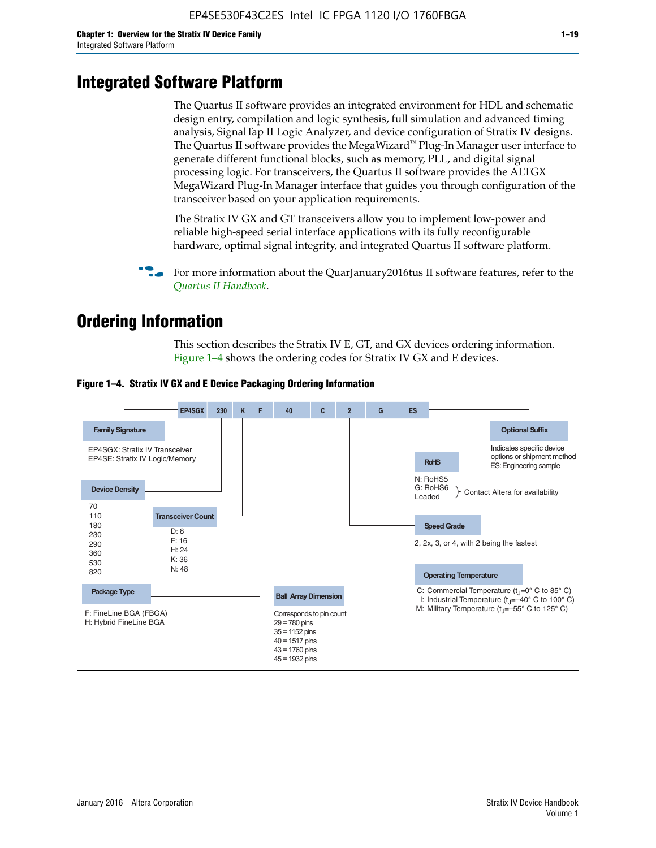# **Integrated Software Platform**

The Quartus II software provides an integrated environment for HDL and schematic design entry, compilation and logic synthesis, full simulation and advanced timing analysis, SignalTap II Logic Analyzer, and device configuration of Stratix IV designs. The Quartus II software provides the MegaWizard<sup> $M$ </sup> Plug-In Manager user interface to generate different functional blocks, such as memory, PLL, and digital signal processing logic. For transceivers, the Quartus II software provides the ALTGX MegaWizard Plug-In Manager interface that guides you through configuration of the transceiver based on your application requirements.

The Stratix IV GX and GT transceivers allow you to implement low-power and reliable high-speed serial interface applications with its fully reconfigurable hardware, optimal signal integrity, and integrated Quartus II software platform.

For more information about the QuarJanuary2016tus II software features, refer to the *[Quartus II Handbook](http://www.altera.com/literature/lit-qts.jsp)*.

# **Ordering Information**

This section describes the Stratix IV E, GT, and GX devices ordering information. Figure 1–4 shows the ordering codes for Stratix IV GX and E devices.



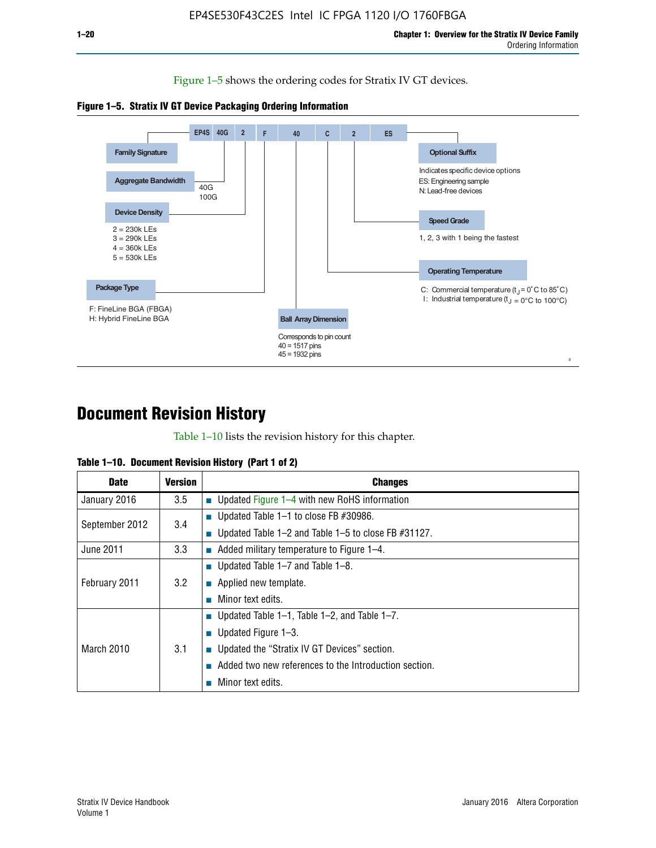Figure 1–5 shows the ordering codes for Stratix IV GT devices.





# **Document Revision History**

Table 1–10 lists the revision history for this chapter.

|  | Table 1–10. Document Revision History (Part 1 of 2) |  |  |
|--|-----------------------------------------------------|--|--|
|--|-----------------------------------------------------|--|--|

| <b>Date</b>       | Version | <b>Changes</b>                                         |
|-------------------|---------|--------------------------------------------------------|
| January 2016      | $3.5\,$ | <b>Updated Figure 1–4 with new RoHS information</b>    |
| September 2012    | 3.4     | ■ Updated Table 1–1 to close FB $#30986$ .             |
|                   |         | Updated Table 1–2 and Table 1–5 to close FB $#31127$ . |
| June 2011         | 3.3     | Added military temperature to Figure 1–4.              |
| February 2011     | 3.2     | ■ Updated Table 1–7 and Table 1–8.                     |
|                   |         | $\blacksquare$ Applied new template.                   |
|                   |         | Minor text edits.                                      |
| <b>March 2010</b> | 3.1     | <b>Updated Table 1–1, Table 1–2, and Table 1–7.</b>    |
|                   |         | ■ Updated Figure $1-3$ .                               |
|                   |         | ■ Updated the "Stratix IV GT Devices" section.         |
|                   |         | Added two new references to the Introduction section.  |
|                   |         | Minor text edits.                                      |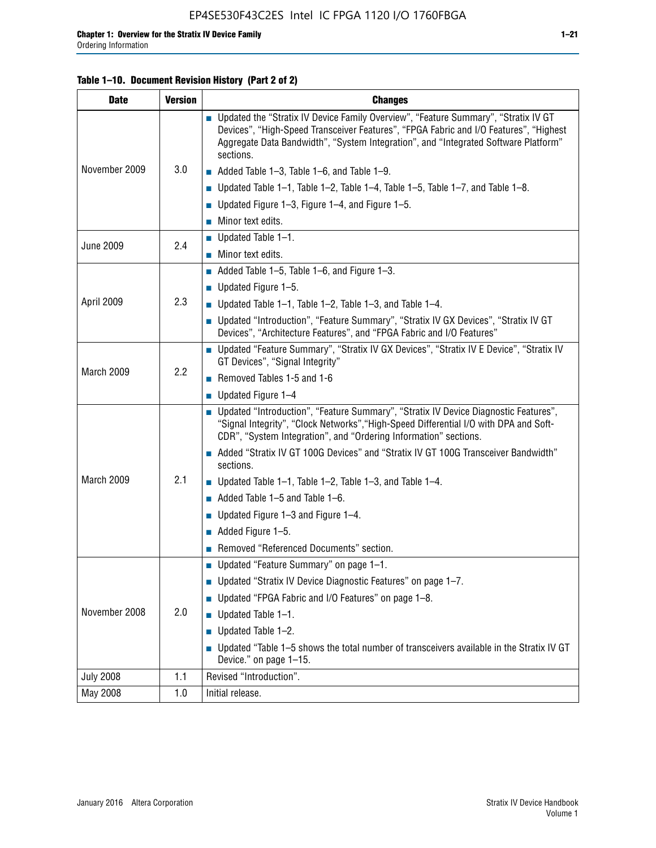#### **Table 1–10. Document Revision History (Part 2 of 2)**

| <b>Date</b>      | <b>Version</b> | <b>Changes</b>                                                                                                                                                                                                                                                                    |  |
|------------------|----------------|-----------------------------------------------------------------------------------------------------------------------------------------------------------------------------------------------------------------------------------------------------------------------------------|--|
| November 2009    |                | ■ Updated the "Stratix IV Device Family Overview", "Feature Summary", "Stratix IV GT<br>Devices", "High-Speed Transceiver Features", "FPGA Fabric and I/O Features", "Highest<br>Aggregate Data Bandwidth", "System Integration", and "Integrated Software Platform"<br>sections. |  |
|                  | 3.0            | $\blacksquare$ Added Table 1-3, Table 1-6, and Table 1-9.                                                                                                                                                                                                                         |  |
|                  |                | $\blacksquare$ Updated Table 1-1, Table 1-2, Table 1-4, Table 1-5, Table 1-7, and Table 1-8.                                                                                                                                                                                      |  |
|                  |                | ■ Updated Figure 1–3, Figure 1–4, and Figure 1–5.                                                                                                                                                                                                                                 |  |
|                  |                | $\blacksquare$ Minor text edits.                                                                                                                                                                                                                                                  |  |
| <b>June 2009</b> | 2.4            | $\blacksquare$ Updated Table 1-1.                                                                                                                                                                                                                                                 |  |
|                  |                | $\blacksquare$ Minor text edits.                                                                                                                                                                                                                                                  |  |
|                  |                | Added Table $1-5$ , Table $1-6$ , and Figure $1-3$ .                                                                                                                                                                                                                              |  |
|                  |                | $\blacksquare$ Updated Figure 1-5.                                                                                                                                                                                                                                                |  |
| April 2009       | 2.3            | ■ Updated Table 1–1, Table 1–2, Table 1–3, and Table 1–4.                                                                                                                                                                                                                         |  |
|                  |                | ■ Updated "Introduction", "Feature Summary", "Stratix IV GX Devices", "Stratix IV GT<br>Devices", "Architecture Features", and "FPGA Fabric and I/O Features"                                                                                                                     |  |
|                  | 2.2            | ■ Updated "Feature Summary", "Stratix IV GX Devices", "Stratix IV E Device", "Stratix IV<br>GT Devices", "Signal Integrity"                                                                                                                                                       |  |
| March 2009       |                | Removed Tables 1-5 and 1-6                                                                                                                                                                                                                                                        |  |
|                  |                | $\blacksquare$ Updated Figure 1-4                                                                                                                                                                                                                                                 |  |
|                  |                | ■ Updated "Introduction", "Feature Summary", "Stratix IV Device Diagnostic Features",<br>"Signal Integrity", "Clock Networks", "High-Speed Differential I/O with DPA and Soft-<br>CDR", "System Integration", and "Ordering Information" sections.                                |  |
|                  |                | Added "Stratix IV GT 100G Devices" and "Stratix IV GT 100G Transceiver Bandwidth"<br>sections.                                                                                                                                                                                    |  |
| March 2009       | 2.1            | ■ Updated Table 1–1, Table 1–2, Table 1–3, and Table 1–4.                                                                                                                                                                                                                         |  |
|                  |                | $\blacksquare$ Added Table 1-5 and Table 1-6.                                                                                                                                                                                                                                     |  |
|                  |                | ■ Updated Figure $1-3$ and Figure $1-4$ .                                                                                                                                                                                                                                         |  |
|                  |                | $\blacksquare$ Added Figure 1-5.                                                                                                                                                                                                                                                  |  |
|                  |                | Removed "Referenced Documents" section.                                                                                                                                                                                                                                           |  |
| November 2008    |                | Updated "Feature Summary" on page 1-1.                                                                                                                                                                                                                                            |  |
|                  |                | ■ Updated "Stratix IV Device Diagnostic Features" on page 1-7.                                                                                                                                                                                                                    |  |
|                  |                | Updated "FPGA Fabric and I/O Features" on page 1-8.                                                                                                                                                                                                                               |  |
|                  | 2.0            | $\blacksquare$ Updated Table 1-1.                                                                                                                                                                                                                                                 |  |
|                  |                | Updated Table 1-2.<br>П                                                                                                                                                                                                                                                           |  |
|                  |                | Updated "Table 1-5 shows the total number of transceivers available in the Stratix IV GT<br>Device." on page 1-15.                                                                                                                                                                |  |
| <b>July 2008</b> | 1.1            | Revised "Introduction".                                                                                                                                                                                                                                                           |  |
| May 2008         | 1.0            | Initial release.                                                                                                                                                                                                                                                                  |  |